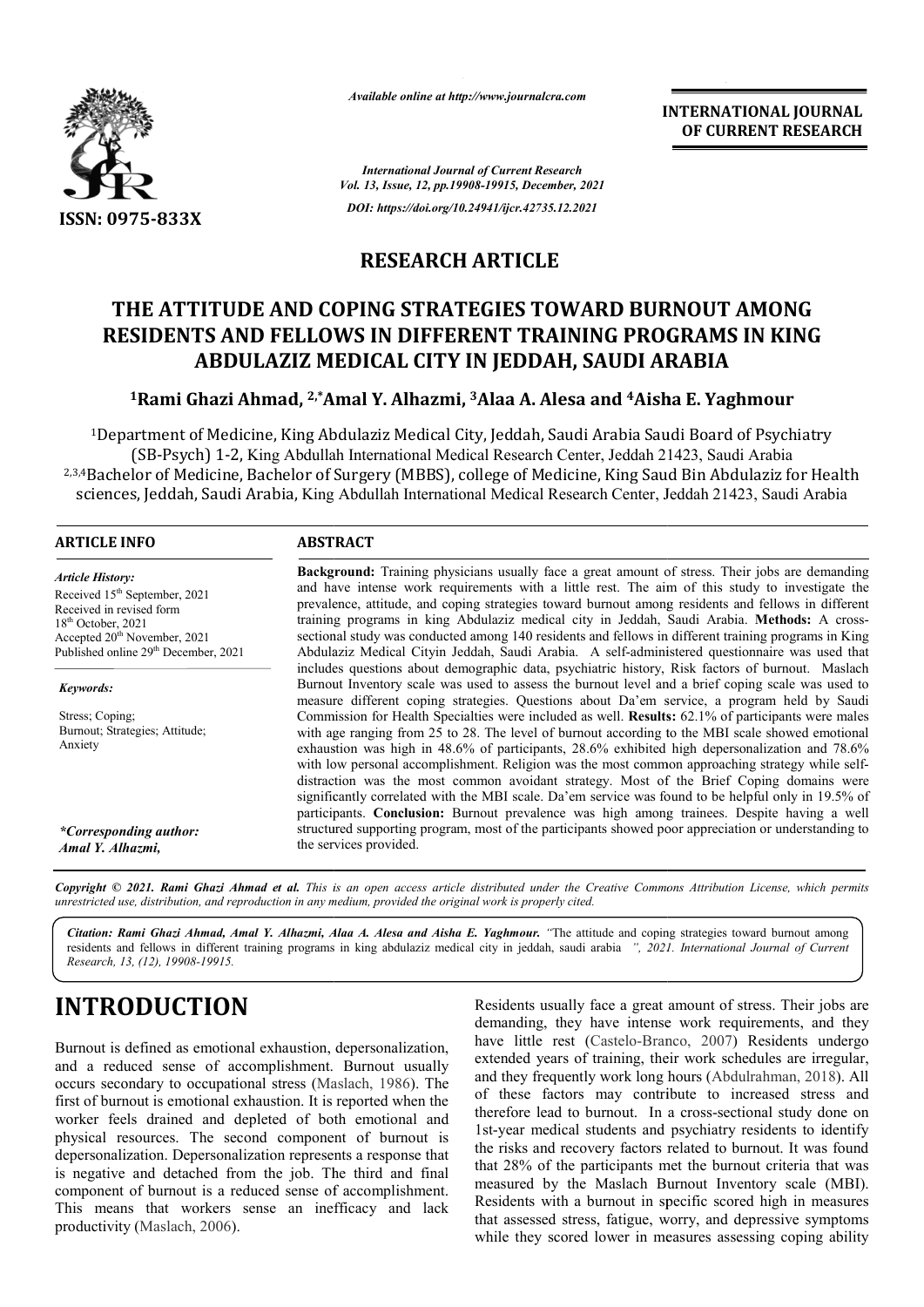

*Available online at http://www.journalcra.com*

**INTERNATIONAL JOURNAL OF CURRENT RESEARCH**

*International Journal of Current Research Vol. 13, Issue, 12, pp.19908-19915, December, 2021 DOI: https://doi.org/10.24941/ijcr.42735.12.2021*

## **RESEARCH ARTICLE**

## **THE ATTITUDE AND COPING STRATEGIES TOWARD BURNOUT AMONG**  RESIDENTS AND FELLOWS IN DIFFERENT TRAINING PROGRAMS IN KING **ABDULAZIZ MEDICAL CITY IN JEDDAH, SAUDI ARABIA**

# ABDULAZIZ MEDICAL CITY IN JEDDAH, SAUDI ARABIA<br><sup>1</sup>Rami Ghazi Ahmad, <sup>2,\*</sup>Amal Y. Alhazmi, <sup>3</sup>Alaa A. Alesa and <sup>4</sup>Aisha E. Yaghmour

1Department of Medicine, King Abdulaziz Medical City, Jeddah, Saudi Arabia Saudi Board of Psychiatry (SB-Psych) 1-2, King Abdullah International Medical Research Center, Jeddah 21423, Saudi Arabia <sup>1</sup>Department of Medicine, King Abdulaziz Medical City, Jeddah, Saudi Arabia Saudi Board of Psychiatry<br>(SB-Psych) 1-2, King Abdullah International Medical Research Center, Jeddah 21423, Saudi Arabia<br><sup>2,3,4</sup>Bachelor of Medi sciences, Jeddah, Saudi Arabia, King Abdullah International Medical Research Center, Jeddah 21423, Saudi Arabia

### **ARTICLE INFO ABSTRACT**

*Article History: Article History:* Received 15<sup>th</sup> September, 2021 Received in revised form Received in revised form Received in revised form  $18<sup>th</sup>$  October, 2021 Accepted  $20^{\text{th}}$  November, 2021 Published online 29<sup>th</sup> December, 2021

*Keywords:*

Stress; Coping; Burnout; Strategies; Attitude; Anxiety

*\*Corresponding author: Amal Y. Alhazmi,*

**Background:**  Training physicians usually face a great amount of stress. Their jobs are demanding and have intense work requirements with a little rest. The aim of this study to investigate the prevalen prevalence, attitude, and coping strategies toward burnout among residents and fellows in different King Abdullah International Medical Research Center, Jeddah 21423, Saudi Arabia<br> **ABSTRACT**<br> **ABSTRACT**<br> **ABSTRACT**<br> **ABSTRACT**<br> **ABSTRACT**<br> **ABSTRACT**<br> **ABSTRACT**<br> **ABSTRACT**<br> **Dackground:** Training physicians usually fac sectional study was conducted among 140 residents and fellows in different training programs in King Abdulaziz Medical Cityin Jeddah, Saudi Arabia. A self self-administered questionnaire was used that includes questions about demographic data, psychiatric history, Risk factors of burnout. Maslach Burnout Inventory scale was used t to assess the burnout level and a brief coping scale was used to measure different coping strategies. Questions about Da'em service, a program held by Saudi Commission for Health Specialties were included as well. **Results:**  with age ranging from 25 to 28. The level of burnout according to the MBI scale showed emotional exhaustion was high in 48.6% of participants, 28.6% exhibited high depersonalization and 78.6% with age ranging from 25 to 28. The level of burnout according to the MBI scale showed emotional exhaustion was high in 48.6% of participants, 28.6% exhibited high depersonalization and 78.6% with low personal accomplishme distraction was the most common avoidant strategy. Most of the Brief Coping domains were significantly correlated with the MBI scale. Da'em service was found to be helpful only in 19.5% of participants. **Conclusion:** Burnout prevalence was high among trainees. Despite having a well structured supporting program, most of the participants showed poor appreciation or understanding to the services provided. Abdulaziz Medical Cityin Jeddah, Saudi Arabia. A self-administered questionnaire was used that includes questions about demographic data, psychiatric history, Risk factors of burnout. Maslach Burnout Inventory scale was us distraction was the most common avoidant strategy. Most of the Brief Coping domains were<br>significantly correlated with the MBI scale. Da'em service was found to be helpful only in 19.5% of<br>participants. Conclusion: Burnout

Copyright © 2021. Rami Ghazi Ahmad et al. This is an open access article distributed under the Creative Commons Attribution License, which permits *unrestricted use, distribution, and reproduction in any medium, provided the original work is properly cited.*

Citation: Rami Ghazi Ahmad, Amal Y. Alhazmi, Alaa A. Alesa and Aisha E. Yaghmour. "The attitude and coping strategies toward burnout among residents and fellows in different training programs in king abdulaziz medical city in jeddah, saudi arabia *", 2021 1. International Journal of CurrentResearch, 13, (12), 19908-19915.*

## **INTRODUCTION**

Burnout is defined as emotional exhaustion, depersonalization, and a reduced sense of accomplishment. Burnout usually occurs secondary to occupational stress (Maslach, 1986). The first of burnout is emotional exhaustion. It is reported when the worker feels drained and depleted of both emotional and physical resources. The second component of burnout is depersonalization. Depersonalization represents a response that is negative and detached from the job. The third and final component of burnout is a reduced sense of accomplishment. This means that workers sense an inefficacy and lack productivity (Maslach, 2006).

**ODUCTION**<br>
Residents usually face a great amount of stress. Their jobs<br>
demanding, they have intense work requirements, and t<br>
duced sense of accomplishment. Burnout usually<br>
duced sense of accomplishment. Burnout usually demanding, they have intense work requirements, and they demanding, they have intense work requirements, and they have little rest (Castelo-Branco, 2007) Residents undergo extended years of training, their work schedules are irregular, and they frequently work long hours (Abdulrahman, 2018). All of these factors may contribute to increased stress and of these factors may contribute to increased stress and therefore lead to burnout. In a cross-sectional study done on 1st-year medical students and psychiatry residents to identify the risks and recovery factors related to burnout. It was found that 28% of the participants met the burnout criteria that was measured by the Maslach Burnout Inventory scale (MBI). Residents with a burnout in specific scored high in measures that assessed stress, fatigue, worry, and depressive symptoms while they scored lower in measures assessing coping ability Residents usually face a great amount of stress. Their jobs are year medical students and psychiatry residents to identify risks and recovery factors related to burnout. It was found 28% of the participants met the burnout criteria that was susued by the Maslach Burnout Inventory scale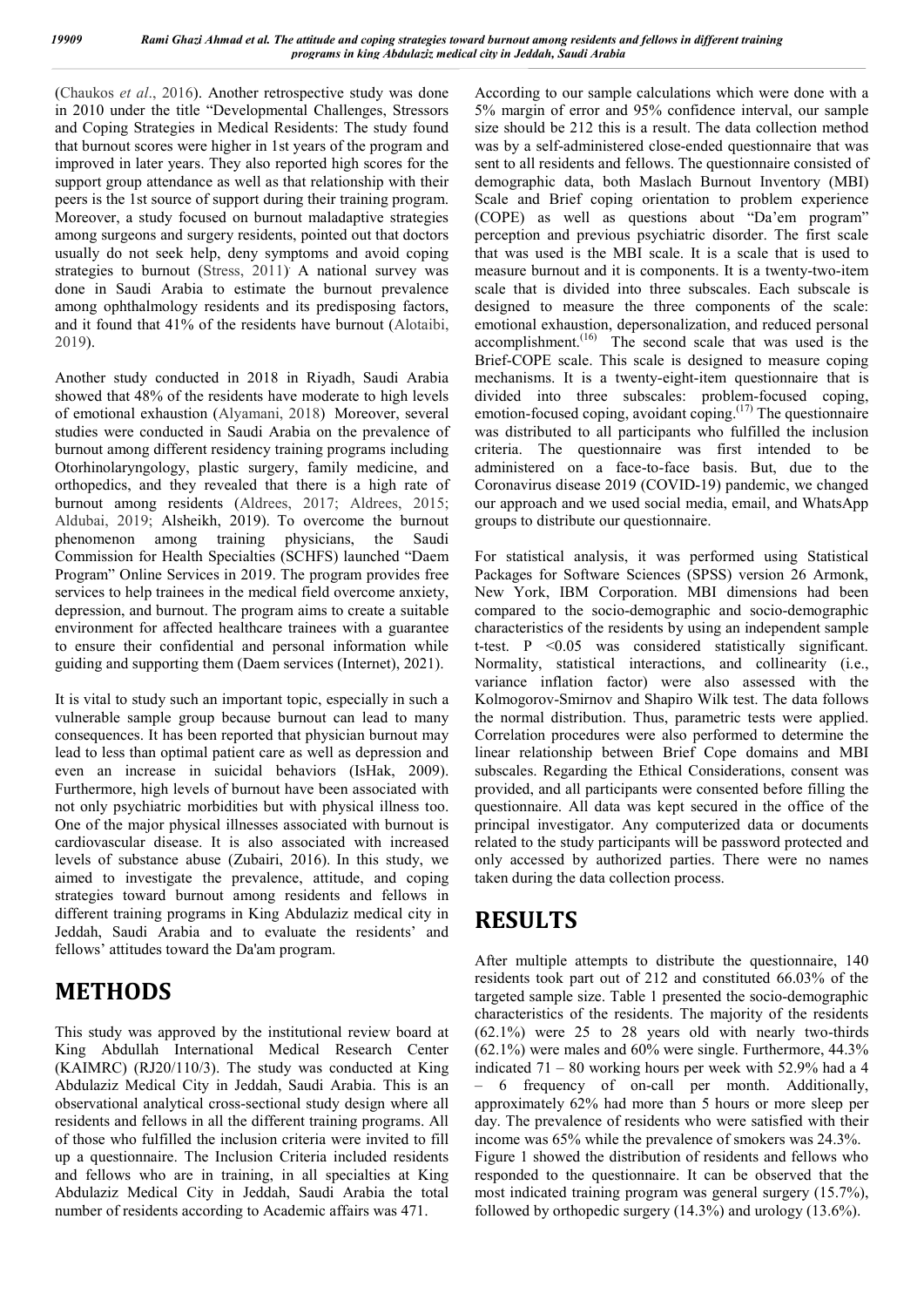(Chaukos *et al*., 2016). Another retrospective study was done in 2010 under the title "Developmental Challenges, Stressors and Coping Strategies in Medical Residents: The study found that burnout scores were higher in 1st years of the program and improved in later years. They also reported high scores for the support group attendance as well as that relationship with their peers is the 1st source of support during their training program. Moreover, a study focused on burnout maladaptive strategies among surgeons and surgery residents, pointed out that doctors usually do not seek help, deny symptoms and avoid coping strategies to burnout (Stress, 2011) . A national survey was done in Saudi Arabia to estimate the burnout prevalence among ophthalmology residents and its predisposing factors, and it found that 41% of the residents have burnout (Alotaibi, 2019).

Another study conducted in 2018 in Riyadh, Saudi Arabia showed that 48% of the residents have moderate to high levels of emotional exhaustion (Alyamani, 2018) Moreover, several studies were conducted in Saudi Arabia on the prevalence of burnout among different residency training programs including Otorhinolaryngology, plastic surgery, family medicine, and orthopedics, and they revealed that there is a high rate of burnout among residents (Aldrees, 2017; Aldrees, 2015; Aldubai, 2019; Alsheikh, 2019). To overcome the burnout phenomenon among training physicians, the Saudi Commission for Health Specialties (SCHFS) launched "Daem Program" Online Services in 2019. The program provides free services to help trainees in the medical field overcome anxiety, depression, and burnout. The program aims to create a suitable environment for affected healthcare trainees with a guarantee to ensure their confidential and personal information while guiding and supporting them (Daem services (Internet), 2021).

It is vital to study such an important topic, especially in such a vulnerable sample group because burnout can lead to many consequences. It has been reported that physician burnout may lead to less than optimal patient care as well as depression and even an increase in suicidal behaviors (IsHak, 2009). Furthermore, high levels of burnout have been associated with not only psychiatric morbidities but with physical illness too. One of the major physical illnesses associated with burnout is cardiovascular disease. It is also associated with increased levels of substance abuse (Zubairi, 2016). In this study, we aimed to investigate the prevalence, attitude, and coping strategies toward burnout among residents and fellows in different training programs in King Abdulaziz medical city in Jeddah, Saudi Arabia and to evaluate the residents' and fellows' attitudes toward the Da'am program.

## **METHODS**

This study was approved by the institutional review board at King Abdullah International Medical Research Center (KAIMRC) (RJ20/110/3). The study was conducted at King Abdulaziz Medical City in Jeddah, Saudi Arabia. This is an observational analytical cross-sectional study design where all residents and fellows in all the different training programs. All of those who fulfilled the inclusion criteria were invited to fill up a questionnaire. The Inclusion Criteria included residents and fellows who are in training, in all specialties at King Abdulaziz Medical City in Jeddah, Saudi Arabia the total number of residents according to Academic affairs was 471.

According to our sample calculations which were done with a 5% margin of error and 95% confidence interval, our sample size should be 212 this is a result. The data collection method was by a self-administered close-ended questionnaire that was sent to all residents and fellows. The questionnaire consisted of demographic data, both Maslach Burnout Inventory (MBI) Scale and Brief coping orientation to problem experience (COPE) as well as questions about "Da'em program" perception and previous psychiatric disorder. The first scale that was used is the MBI scale. It is a scale that is used to measure burnout and it is components. It is a twenty-two-item scale that is divided into three subscales. Each subscale is designed to measure the three components of the scale: emotional exhaustion, depersonalization, and reduced personal accomplishment.<sup>(16)</sup> The second scale that was used is the Brief-COPE scale. This scale is designed to measure coping mechanisms. It is a twenty-eight-item questionnaire that is divided into three subscales: problem-focused coping, emotion-focused coping, avoidant coping.(17) The questionnaire was distributed to all participants who fulfilled the inclusion criteria. The questionnaire was first intended to be administered on a face-to-face basis. But, due to the Coronavirus disease 2019 (COVID-19) pandemic, we changed our approach and we used social media, email, and WhatsApp groups to distribute our questionnaire.

For statistical analysis, it was performed using Statistical Packages for Software Sciences (SPSS) version 26 Armonk, New York, IBM Corporation. MBI dimensions had been compared to the socio-demographic and socio-demographic characteristics of the residents by using an independent sample t-test. P <0.05 was considered statistically significant. Normality, statistical interactions, and collinearity (i.e., variance inflation factor) were also assessed with the Kolmogorov-Smirnov and Shapiro Wilk test. The data follows the normal distribution. Thus, parametric tests were applied. Correlation procedures were also performed to determine the linear relationship between Brief Cope domains and MBI subscales. Regarding the Ethical Considerations, consent was provided, and all participants were consented before filling the questionnaire. All data was kept secured in the office of the principal investigator. Any computerized data or documents related to the study participants will be password protected and only accessed by authorized parties. There were no names taken during the data collection process.

## **RESULTS**

After multiple attempts to distribute the questionnaire, 140 residents took part out of 212 and constituted 66.03% of the targeted sample size. Table 1 presented the socio-demographic characteristics of the residents. The majority of the residents (62.1%) were 25 to 28 years old with nearly two-thirds (62.1%) were males and 60% were single. Furthermore, 44.3% indicated  $71 - 80$  working hours per week with 52.9% had a 4 – 6 frequency of on-call per month. Additionally, approximately 62% had more than 5 hours or more sleep per day. The prevalence of residents who were satisfied with their income was 65% while the prevalence of smokers was 24.3%. Figure 1 showed the distribution of residents and fellows who responded to the questionnaire. It can be observed that the most indicated training program was general surgery (15.7%), followed by orthopedic surgery (14.3%) and urology (13.6%).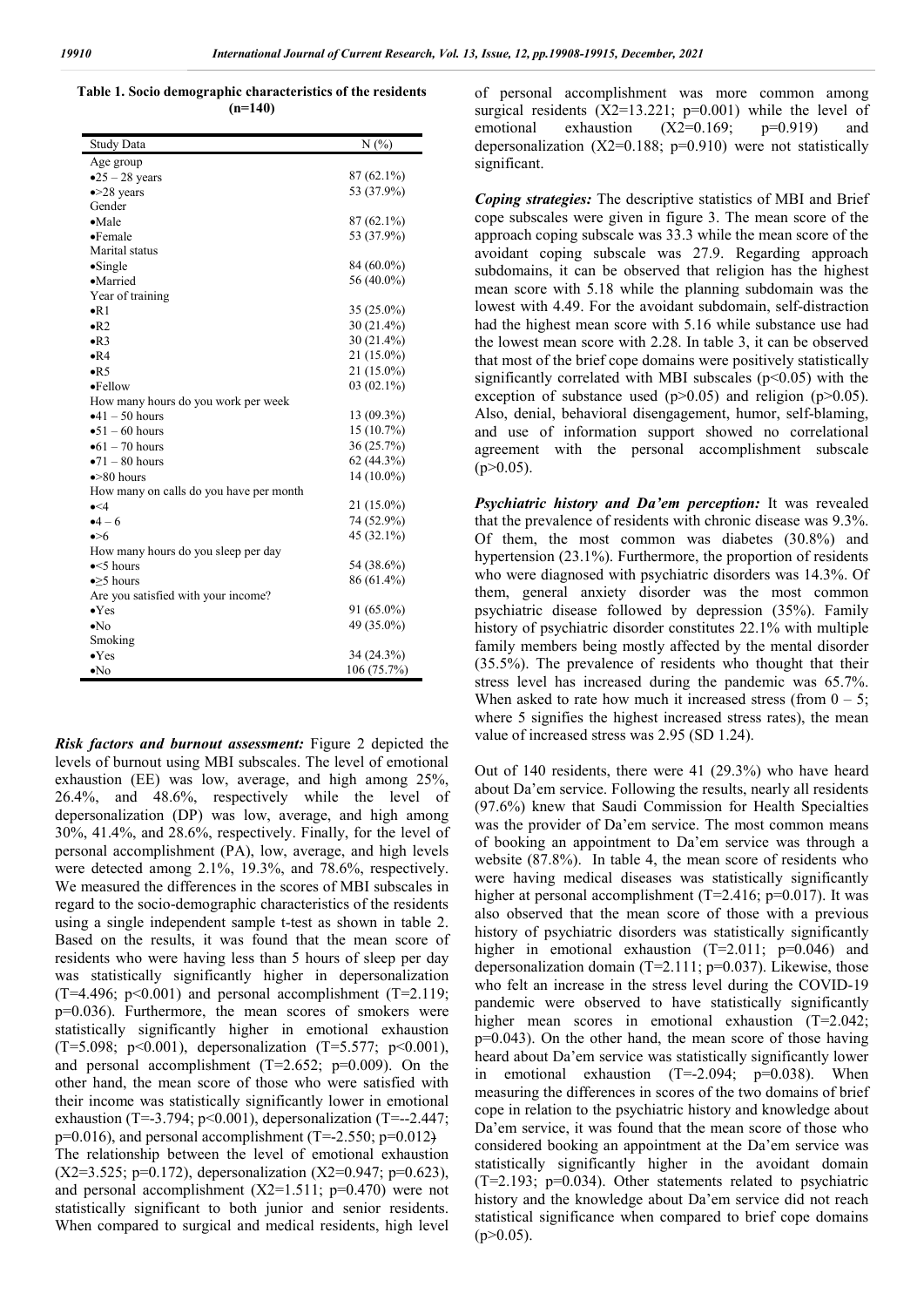**Table 1. Socio demographic characteristics of the residents (n=140)**

| <b>Study Data</b>                       | N(%)         |
|-----------------------------------------|--------------|
| Age group                               |              |
| $-25 - 28$ years                        | 87 (62.1%)   |
| $\bullet$ >28 years                     | 53 (37.9%)   |
| Gender                                  |              |
| $\bullet$ Male                          | 87 (62.1%)   |
| $\bullet$ Female                        | 53 (37.9%)   |
| Marital status                          |              |
| $\bullet$ Single                        | 84 (60.0%)   |
| ·Married                                | 56 (40.0%)   |
| Year of training                        |              |
| $\bullet$ R1                            | $35(25.0\%)$ |
| $\bullet R2$                            | $30(21.4\%)$ |
| $\bullet$ R <sub>3</sub>                | $30(21.4\%)$ |
| $\bullet$ R4                            | 21 (15.0%)   |
| $\bullet$ R5                            | 21 (15.0%)   |
| •Fellow                                 | $03(02.1\%)$ |
| How many hours do you work per week     |              |
| $•41 - 50$ hours                        | 13 (09.3%)   |
| $•51 - 60 hours$                        | 15(10.7%)    |
| $\bullet$ 61 – 70 hours                 | 36 (25.7%)   |
| $\bullet$ 71 – 80 hours                 | 62(44.3%)    |
| $\bullet$ >80 hours                     | 14 (10.0%)   |
| How many on calls do you have per month |              |
| $\bullet$ <4                            | 21 (15.0%)   |
| $-4-6$                                  | 74 (52.9%)   |
| $\bullet > 6$                           | 45 (32.1%)   |
| How many hours do you sleep per day     |              |
| $\bullet$ <5 hours                      | 54 (38.6%)   |
| $\bullet$ >5 hours                      | 86 (61.4%)   |
| Are you satisfied with your income?     |              |
| $\bullet$ Yes                           | 91 (65.0%)   |
| $\bullet$ No                            | 49 (35.0%)   |
| Smoking                                 |              |
| $\bullet$ Yes                           | 34 (24.3%)   |
| $\bullet$ No                            | 106 (75.7%)  |

*Risk factors and burnout assessment:* Figure 2 depicted the levels of burnout using MBI subscales. The level of emotional exhaustion (EE) was low, average, and high among 25%, 26.4%, and 48.6%, respectively while the level of depersonalization (DP) was low, average, and high among 30%, 41.4%, and 28.6%, respectively. Finally, for the level of personal accomplishment (PA), low, average, and high levels were detected among 2.1%, 19.3%, and 78.6%, respectively. We measured the differences in the scores of MBI subscales in regard to the socio-demographic characteristics of the residents using a single independent sample t-test as shown in table 2. Based on the results, it was found that the mean score of residents who were having less than 5 hours of sleep per day was statistically significantly higher in depersonalization  $(T=4.496; p<0.001)$  and personal accomplishment  $(T=2.119;$ p=0.036). Furthermore, the mean scores of smokers were statistically significantly higher in emotional exhaustion (T=5.098; p<0.001), depersonalization (T=5.577; p<0.001), and personal accomplishment (T=2.652; p=0.009). On the other hand, the mean score of those who were satisfied with their income was statistically significantly lower in emotional exhaustion (T=-3.794; p<0.001), depersonalization (T=--2.447;  $p=0.016$ ), and personal accomplishment (T=-2.550;  $p=0.012$ ) The relationship between the level of emotional exhaustion  $(X2=3.525; p=0.172)$ , depersonalization  $(X2=0.947; p=0.623)$ , and personal accomplishment  $(X2=1.511; p=0.470)$  were not statistically significant to both junior and senior residents. When compared to surgical and medical residents, high level

of personal accomplishment was more common among surgical residents  $(X2=13.221; p=0.001)$  while the level of emotional exhaustion  $(X2=0.169; p=0.919)$  and emotional exhaustion  $(X2=0.169; p=0.919)$  and depersonalization  $(X2=0.188; p=0.910)$  were not statistically significant.

*Coping strategies:* The descriptive statistics of MBI and Brief cope subscales were given in figure 3. The mean score of the approach coping subscale was 33.3 while the mean score of the avoidant coping subscale was 27.9. Regarding approach subdomains, it can be observed that religion has the highest mean score with 5.18 while the planning subdomain was the lowest with 4.49. For the avoidant subdomain, self-distraction had the highest mean score with 5.16 while substance use had the lowest mean score with 2.28. In table 3, it can be observed that most of the brief cope domains were positively statistically significantly correlated with MBI subscales ( $p$ <0.05) with the exception of substance used  $(p>0.05)$  and religion  $(p>0.05)$ . Also, denial, behavioral disengagement, humor, self-blaming, and use of information support showed no correlational agreement with the personal accomplishment subscale  $(p>0.05)$ .

*Psychiatric history and Da'em perception:* It was revealed that the prevalence of residents with chronic disease was 9.3%. Of them, the most common was diabetes (30.8%) and hypertension (23.1%). Furthermore, the proportion of residents who were diagnosed with psychiatric disorders was 14.3%. Of them, general anxiety disorder was the most common psychiatric disease followed by depression (35%). Family history of psychiatric disorder constitutes 22.1% with multiple family members being mostly affected by the mental disorder (35.5%). The prevalence of residents who thought that their stress level has increased during the pandemic was 65.7%. When asked to rate how much it increased stress (from  $0 - 5$ ; where 5 signifies the highest increased stress rates), the mean value of increased stress was 2.95 (SD 1.24).

Out of 140 residents, there were 41 (29.3%) who have heard about Da'em service. Following the results, nearly all residents (97.6%) knew that Saudi Commission for Health Specialties was the provider of Da'em service. The most common means of booking an appointment to Da'em service was through a website (87.8%). In table 4, the mean score of residents who were having medical diseases was statistically significantly higher at personal accomplishment (T=2.416; p=0.017). It was also observed that the mean score of those with a previous history of psychiatric disorders was statistically significantly higher in emotional exhaustion (T=2.011; p=0.046) and depersonalization domain (T=2.111;  $p=0.037$ ). Likewise, those who felt an increase in the stress level during the COVID-19 pandemic were observed to have statistically significantly higher mean scores in emotional exhaustion (T=2.042; p=0.043). On the other hand, the mean score of those having heard about Da'em service was statistically significantly lower in emotional exhaustion (T=-2.094; p=0.038). When measuring the differences in scores of the two domains of brief cope in relation to the psychiatric history and knowledge about Da'em service, it was found that the mean score of those who considered booking an appointment at the Da'em service was statistically significantly higher in the avoidant domain  $(T=2.193; p=0.034)$ . Other statements related to psychiatric history and the knowledge about Da'em service did not reach statistical significance when compared to brief cope domains  $(p>0.05)$ .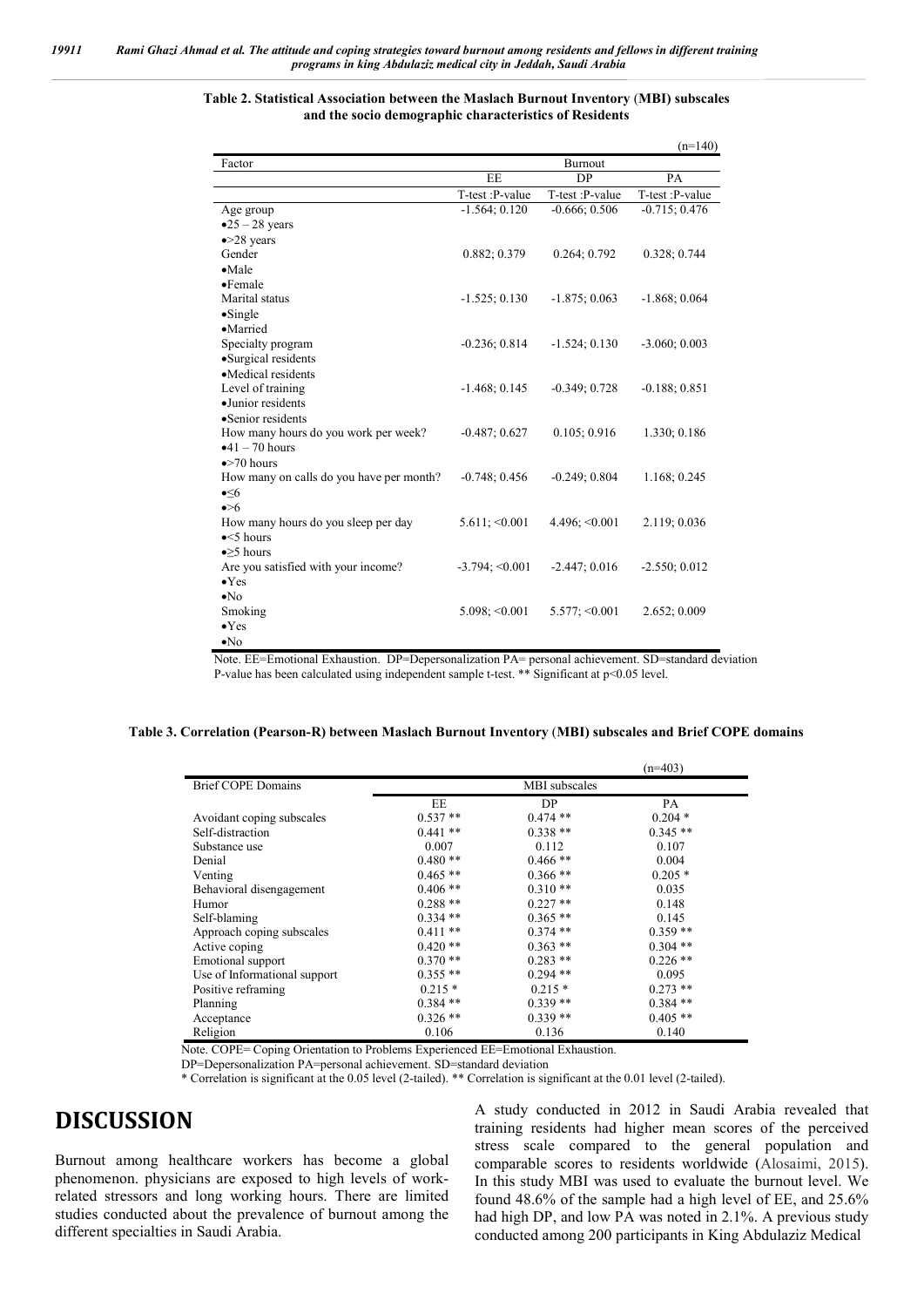#### **Table 2. Statistical Association between the Maslach Burnout Inventory** (**MBI) subscales and the socio demographic characteristics of Residents**

|                                          |                     |                        | $(n=140)$       |
|------------------------------------------|---------------------|------------------------|-----------------|
| Factor                                   |                     | Burnout                |                 |
|                                          | EE                  | DP                     | PA              |
|                                          | T-test :P-value     | T-test :P-value        | T-test :P-value |
| Age group                                | $-1.564; 0.120$     | $-0.666; 0.506$        | $-0.715; 0.476$ |
| $\bullet$ 25 - 28 years                  |                     |                        |                 |
| $\bullet$ >28 years                      |                     |                        |                 |
| Gender                                   | 0.882; 0.379        | 0.264; 0.792           | 0.328; 0.744    |
| $\bullet$ Male                           |                     |                        |                 |
| $\bullet$ Female                         |                     |                        |                 |
| Marital status                           | $-1.525; 0.130$     | $-1.875; 0.063$        | $-1.868; 0.064$ |
| $\bullet$ Single                         |                     |                        |                 |
| •Married                                 |                     |                        |                 |
| Specialty program                        | $-0.236; 0.814$     | $-1.524; 0.130$        | $-3.060; 0.003$ |
| ·Surgical residents                      |                     |                        |                 |
| •Medical residents                       |                     |                        |                 |
| Level of training                        | $-1.468; 0.145$     | $-0.349; 0.728$        | $-0.188; 0.851$ |
| ·Junior residents                        |                     |                        |                 |
| •Senior residents                        |                     |                        |                 |
| How many hours do you work per week?     | $-0.487; 0.627$     | 0.105; 0.916           | 1.330; 0.186    |
| $•41 - 70 hours$                         |                     |                        |                 |
| $\bullet$ >70 hours                      |                     |                        |                 |
| How many on calls do you have per month? | $-0.748; 0.456$     | $-0.249; 0.804$        | 1.168; 0.245    |
| $\triangleleft 6$                        |                     |                        |                 |
| $\bullet > 6$                            |                     |                        |                 |
| How many hours do you sleep per day      | 5.611; < 0.001      | 4.496; < 0.001         | 2.119; 0.036    |
| $\bullet$ <5 hours                       |                     |                        |                 |
| $\bullet$ > 5 hours                      |                     |                        |                 |
| Are you satisfied with your income?      | $-3.794 \div 0.001$ | $-2.447; 0.016$        | $-2.550; 0.012$ |
| $\bullet$ Yes                            |                     |                        |                 |
| $\bullet$ No                             |                     |                        |                 |
| Smoking                                  | $5.098; \le 0.001$  | $5.577$ ; $\leq 0.001$ | 2.652; 0.009    |
| $\bullet$ Yes                            |                     |                        |                 |
| $\bullet$ No                             |                     |                        |                 |

Note. EE=Emotional Exhaustion. DP=Depersonalization PA= personal achievement. SD=standard deviation P-value has been calculated using independent sample t-test. \*\* Significant at p<0.05 level.

|  |  |  |  |  | Table 3. Correlation (Pearson-R) between Maslach Burnout Inventory (MBI) subscales and Brief COPE domains |  |
|--|--|--|--|--|-----------------------------------------------------------------------------------------------------------|--|
|--|--|--|--|--|-----------------------------------------------------------------------------------------------------------|--|

|                              |               |            | $(n=403)$  |
|------------------------------|---------------|------------|------------|
| <b>Brief COPE Domains</b>    | MBI subscales |            |            |
|                              | EE            | DP         | PA         |
| Avoidant coping subscales    | $0.537**$     | $0.474**$  | $0.204*$   |
| Self-distraction             | $0.441**$     | $0.338**$  | $0.345**$  |
| Substance use                | 0.007         | 0.112      | 0.107      |
| Denial                       | $0.480**$     | $0.466**$  | 0.004      |
| Venting                      | $0.465**$     | $0.366**$  | $0.205*$   |
| Behavioral disengagement     | $0.406**$     | $0.310**$  | 0.035      |
| Humor                        | $0.288**$     | $0.227$ ** | 0.148      |
| Self-blaming                 | $0.334$ **    | $0.365**$  | 0.145      |
| Approach coping subscales    | $0.411$ **    | $0.374**$  | $0.359**$  |
| Active coping                | $0.420**$     | $0.363**$  | $0.304**$  |
| Emotional support            | $0.370**$     | $0.283**$  | $0.226$ ** |
| Use of Informational support | $0.355**$     | $0.294$ ** | 0.095      |
| Positive reframing           | $0.215*$      | $0.215*$   | $0.273$ ** |
| Planning                     | $0.384$ **    | $0.339**$  | $0.384**$  |
| Acceptance                   | $0.326$ **    | $0.339**$  | $0.405**$  |
| Religion                     | 0.106         | 0.136      | 0.140      |

Note. COPE= Coping Orientation to Problems Experienced EE=Emotional Exhaustion.

DP=Depersonalization PA=personal achievement. SD=standard deviation

\* Correlation is significant at the 0.05 level (2-tailed). \*\* Correlation is significant at the 0.01 level (2-tailed).

## **DISCUSSION**

Burnout among healthcare workers has become a global phenomenon. physicians are exposed to high levels of workrelated stressors and long working hours. There are limited studies conducted about the prevalence of burnout among the different specialties in Saudi Arabia.

A study conducted in 2012 in Saudi Arabia revealed that training residents had higher mean scores of the perceived stress scale compared to the general population and comparable scores to residents worldwide (Alosaimi, 2015). In this study MBI was used to evaluate the burnout level. We found 48.6% of the sample had a high level of EE, and 25.6% had high DP, and low PA was noted in 2.1%. A previous study conducted among 200 participants in King Abdulaziz Medical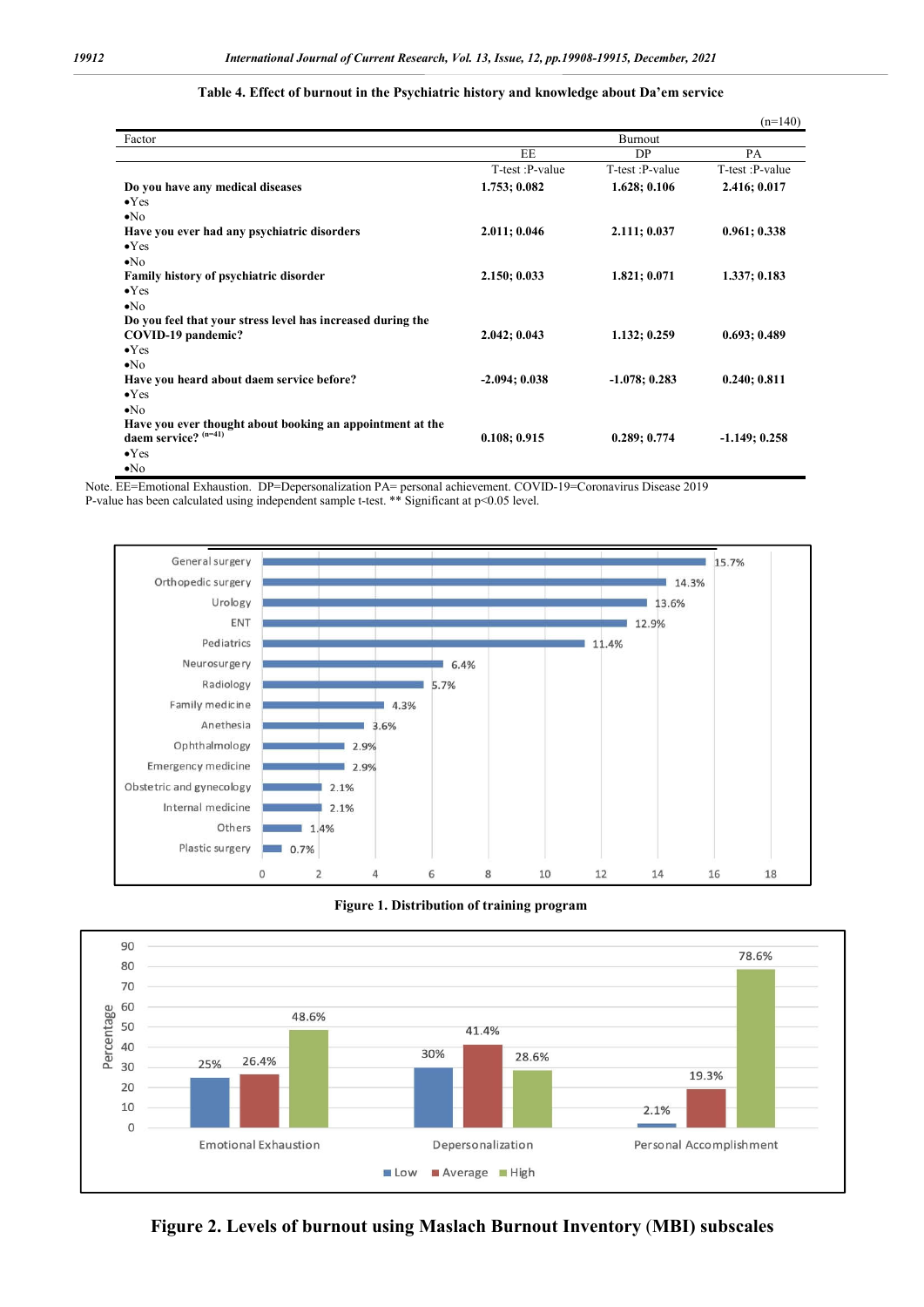|                                                             |                 |                 | $(n=140)$       |
|-------------------------------------------------------------|-----------------|-----------------|-----------------|
| Factor                                                      |                 | Burnout         |                 |
|                                                             | EE              | DP              | PA              |
|                                                             | T-test :P-value | T-test: P-value | T-test :P-value |
| Do you have any medical diseases                            | 1.753; 0.082    | 1.628; 0.106    | 2.416; 0.017    |
| $\bullet$ Yes                                               |                 |                 |                 |
| $\bullet$ No                                                |                 |                 |                 |
| Have you ever had any psychiatric disorders                 | 2.011; 0.046    | 2.111; 0.037    | 0.961; 0.338    |
| $\bullet$ Yes                                               |                 |                 |                 |
| $\bullet$ No                                                |                 |                 |                 |
| Family history of psychiatric disorder                      | 2.150; 0.033    | 1.821; 0.071    | 1.337; 0.183    |
| $\bullet$ Yes                                               |                 |                 |                 |
| $\bullet$ No                                                |                 |                 |                 |
| Do you feel that your stress level has increased during the |                 |                 |                 |
| COVID-19 pandemic?                                          | 2.042; 0.043    | 1.132; 0.259    | 0.693; 0.489    |
| $\bullet$ Yes                                               |                 |                 |                 |
| $\bullet$ No                                                |                 |                 |                 |
| Have you heard about daem service before?                   | $-2.094; 0.038$ | $-1.078; 0.283$ | 0.240:0.811     |
| $\bullet$ Yes                                               |                 |                 |                 |
| $\bullet$ No                                                |                 |                 |                 |
| Have you ever thought about booking an appointment at the   |                 |                 |                 |
| daem service? $(n=41)$                                      | 0.108; 0.915    | 0.289:0.774     | $-1.149; 0.258$ |
| $\bullet$ Yes                                               |                 |                 |                 |
| $\bullet$ No                                                |                 |                 |                 |

#### **Table 4. Effect of burnout in the Psychiatric history and knowledge about Da'em service**

Note. EE=Emotional Exhaustion. DP=Depersonalization PA= personal achievement. COVID-19=Coronavirus Disease 2019 P-value has been calculated using independent sample t-test. \*\* Significant at p<0.05 level.







**Figure 2. Levels of burnout using Maslach Burnout Inventory** (**MBI) subscales**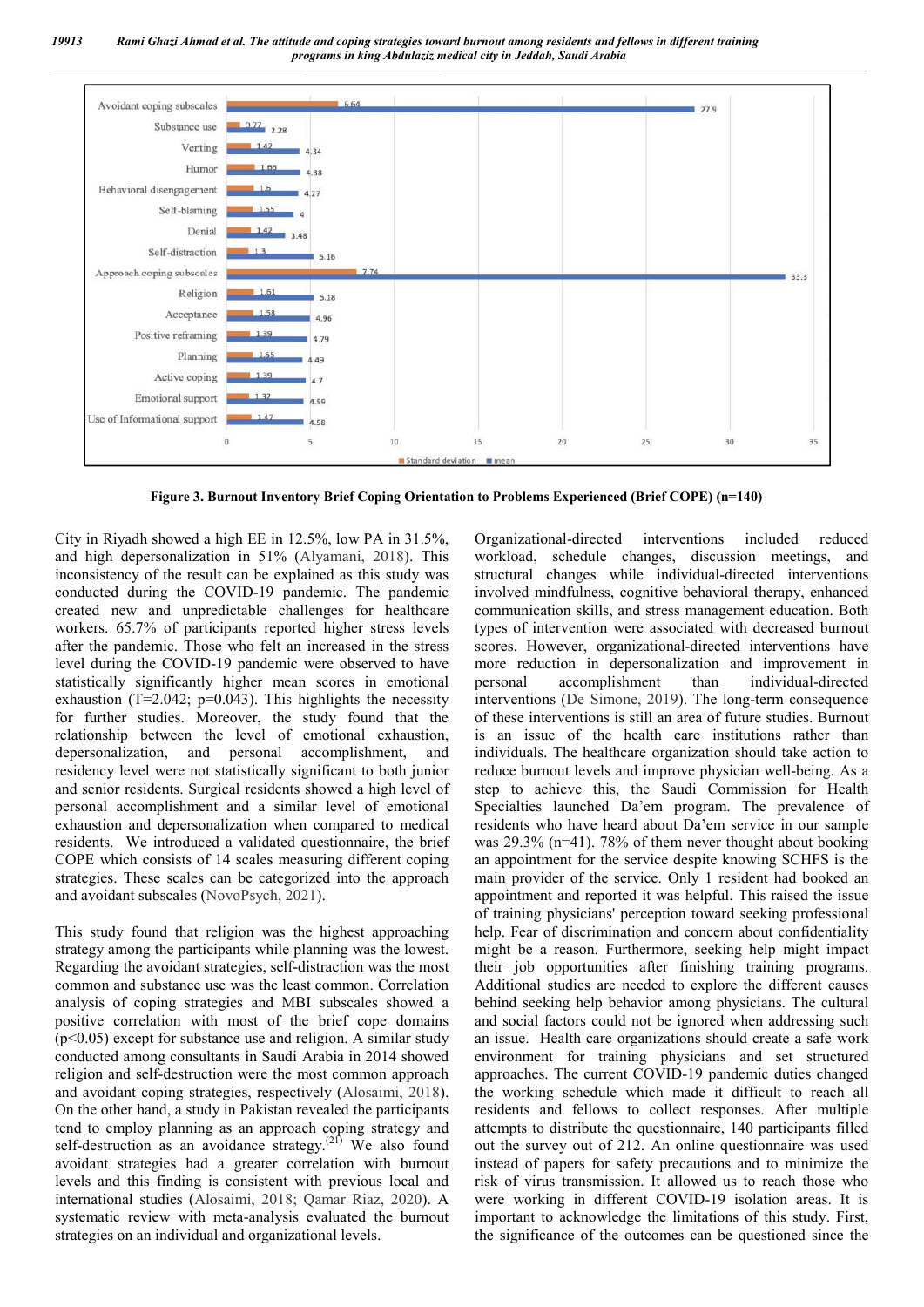

**Figure 3. Burnout Inventory Brief Coping Orientation to Problems Experienced (Brief COPE) (n=140)**

City in Riyadh showed a high EE in 12.5%, low PA in 31.5%, and high depersonalization in 51% (Alyamani, 2018). This inconsistency of the result can be explained as this study was conducted during the COVID-19 pandemic. The pandemic created new and unpredictable challenges for healthcare workers. 65.7% of participants reported higher stress levels after the pandemic. Those who felt an increased in the stress level during the COVID-19 pandemic were observed to have statistically significantly higher mean scores in emotional exhaustion (T=2.042;  $p=0.043$ ). This highlights the necessity for further studies. Moreover, the study found that the relationship between the level of emotional exhaustion, depersonalization, and personal accomplishment, and residency level were not statistically significant to both junior and senior residents. Surgical residents showed a high level of personal accomplishment and a similar level of emotional exhaustion and depersonalization when compared to medical residents. We introduced a validated questionnaire, the brief COPE which consists of 14 scales measuring different coping strategies. These scales can be categorized into the approach and avoidant subscales (NovoPsych, 2021).

This study found that religion was the highest approaching strategy among the participants while planning was the lowest. Regarding the avoidant strategies, self-distraction was the most common and substance use was the least common. Correlation analysis of coping strategies and MBI subscales showed a positive correlation with most of the brief cope domains  $(p<0.05)$  except for substance use and religion. A similar study conducted among consultants in Saudi Arabia in 2014 showed religion and self-destruction were the most common approach and avoidant coping strategies, respectively (Alosaimi, 2018). On the other hand, a study in Pakistan revealed the participants tend to employ planning as an approach coping strategy and self-destruction as an avoidance strategy.<sup>(21)</sup> We also found avoidant strategies had a greater correlation with burnout levels and this finding is consistent with previous local and international studies (Alosaimi, 2018; Qamar Riaz, 2020). A systematic review with meta-analysis evaluated the burnout strategies on an individual and organizational levels.

Organizational-directed interventions included reduced workload, schedule changes, discussion meetings, and structural changes while individual-directed interventions involved mindfulness, cognitive behavioral therapy, enhanced communication skills, and stress management education. Both types of intervention were associated with decreased burnout scores. However, organizational-directed interventions have more reduction in depersonalization and improvement in personal accomplishment than individual-directed interventions (De Simone, 2019). The long-term consequence of these interventions is still an area of future studies. Burnout is an issue of the health care institutions rather than individuals. The healthcare organization should take action to reduce burnout levels and improve physician well-being. As a step to achieve this, the Saudi Commission for Health Specialties launched Da'em program. The prevalence of residents who have heard about Da'em service in our sample was 29.3% (n=41). 78% of them never thought about booking an appointment for the service despite knowing SCHFS is the main provider of the service. Only 1 resident had booked an appointment and reported it was helpful. This raised the issue of training physicians' perception toward seeking professional help. Fear of discrimination and concern about confidentiality might be a reason. Furthermore, seeking help might impact their job opportunities after finishing training programs. Additional studies are needed to explore the different causes behind seeking help behavior among physicians. The cultural and social factors could not be ignored when addressing such an issue. Health care organizations should create a safe work environment for training physicians and set structured approaches. The current COVID-19 pandemic duties changed the working schedule which made it difficult to reach all residents and fellows to collect responses. After multiple attempts to distribute the questionnaire, 140 participants filled out the survey out of 212. An online questionnaire was used instead of papers for safety precautions and to minimize the risk of virus transmission. It allowed us to reach those who were working in different COVID-19 isolation areas. It is important to acknowledge the limitations of this study. First, the significance of the outcomes can be questioned since the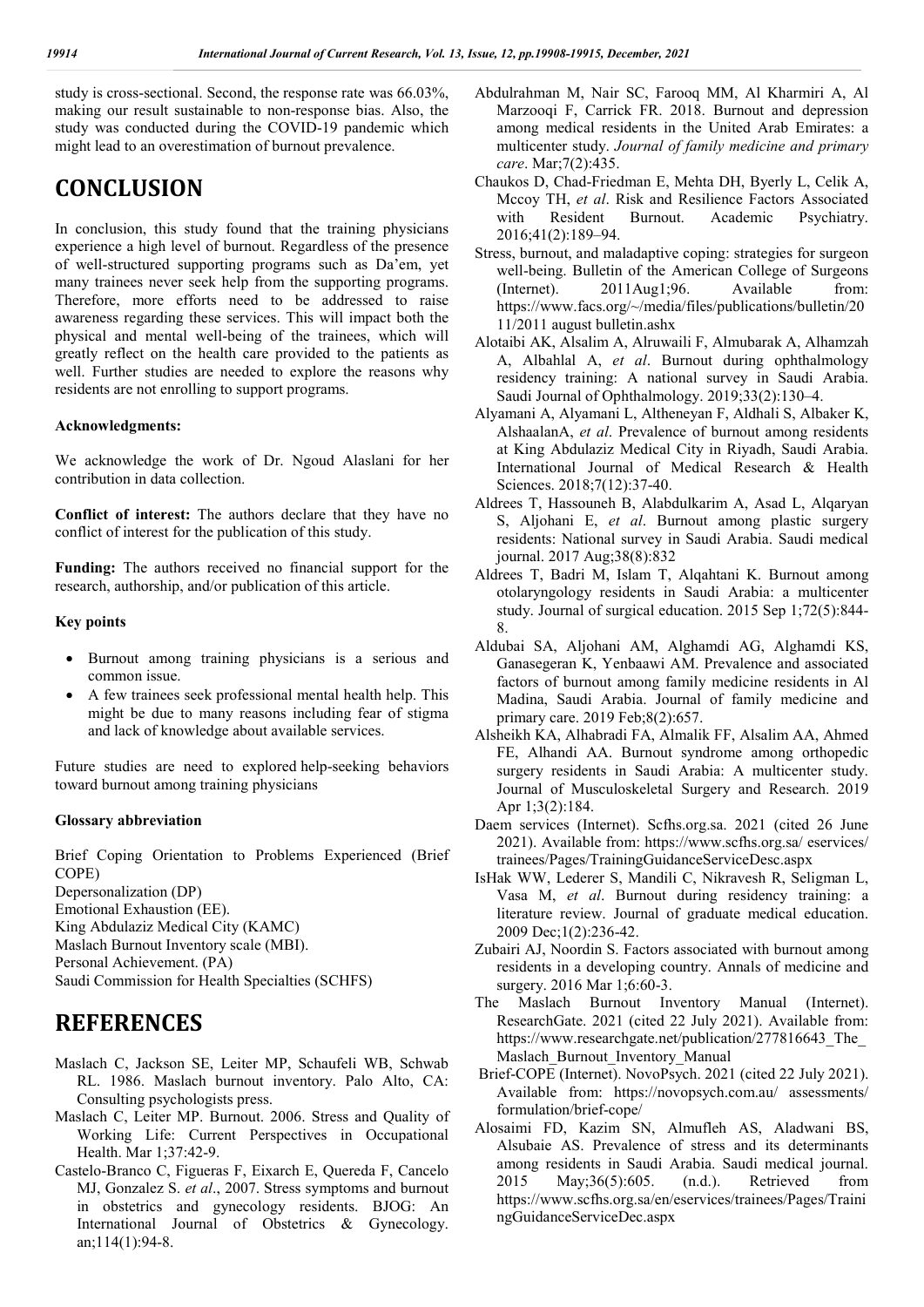study is cross-sectional. Second, the response rate was 66.03%, making our result sustainable to non-response bias. Also, the study was conducted during the COVID-19 pandemic which might lead to an overestimation of burnout prevalence.

## **CONCLUSION**

In conclusion, this study found that the training physicians experience a high level of burnout. Regardless of the presence of well-structured supporting programs such as Da'em, yet many trainees never seek help from the supporting programs. Therefore, more efforts need to be addressed to raise awareness regarding these services. This will impact both the physical and mental well-being of the trainees, which will greatly reflect on the health care provided to the patients as well. Further studies are needed to explore the reasons why residents are not enrolling to support programs.

#### **Acknowledgments:**

We acknowledge the work of Dr. Ngoud Alaslani for her contribution in data collection.

**Conflict of interest:** The authors declare that they have no conflict of interest for the publication of this study.

**Funding:** The authors received no financial support for the research, authorship, and/or publication of this article.

#### **Key points**

- Burnout among training physicians is a serious and common issue.
- A few trainees seek professional mental health help. This might be due to many reasons including fear of stigma and lack of knowledge about available services.

Future studies are need to explored help-seeking behaviors toward burnout among training physicians

#### **Glossary abbreviation**

Brief Coping Orientation to Problems Experienced (Brief COPE) Depersonalization (DP)

Emotional Exhaustion (EE). King Abdulaziz Medical City (KAMC)

Maslach Burnout Inventory scale (MBI).

Personal Achievement. (PA)

Saudi Commission for Health Specialties (SCHFS)

## **REFERENCES**

- Maslach C, Jackson SE, Leiter MP, Schaufeli WB, Schwab RL. 1986. Maslach burnout inventory. Palo Alto, CA: Consulting psychologists press.
- Maslach C, Leiter MP. Burnout. 2006. Stress and Quality of Working Life: Current Perspectives in Occupational Health. Mar 1;37:42-9.
- Castelo‐Branco C, Figueras F, Eixarch E, Quereda F, Cancelo MJ, Gonzalez S. *et al*., 2007. Stress symptoms and burnout in obstetrics and gynecology residents. BJOG: An International Journal of Obstetrics & Gynecology. an;114(1):94-8.
- Abdulrahman M, Nair SC, Farooq MM, Al Kharmiri A, Al Marzooqi F, Carrick FR. 2018. Burnout and depression among medical residents in the United Arab Emirates: a multicenter study. *Journal of family medicine and primary care*. Mar;7(2):435.
- Chaukos D, Chad-Friedman E, Mehta DH, Byerly L, Celik A, Mccoy TH, *et al*. Risk and Resilience Factors Associated with Resident Burnout. Academic Psychiatry. 2016;41(2):189–94.
- Stress, burnout, and maladaptive coping: strategies for surgeon well-being. Bulletin of the American College of Surgeons (Internet). 2011Aug1;96. Available from: https://www.facs.org/~/media/files/publications/bulletin/20 11/2011 august bulletin.ashx
- Alotaibi AK, Alsalim A, Alruwaili F, Almubarak A, Alhamzah A, Albahlal A, *et al*. Burnout during ophthalmology residency training: A national survey in Saudi Arabia. Saudi Journal of Ophthalmology. 2019;33(2):130–4.
- Alyamani A, Alyamani L, Altheneyan F, Aldhali S, Albaker K, AlshaalanA, *et al*. Prevalence of burnout among residents at King Abdulaziz Medical City in Riyadh, Saudi Arabia. International Journal of Medical Research & Health Sciences. 2018:7(12):37-40.
- Aldrees T, Hassouneh B, Alabdulkarim A, Asad L, Alqaryan S, Aljohani E, *et al*. Burnout among plastic surgery residents: National survey in Saudi Arabia. Saudi medical journal. 2017 Aug;38(8):832
- Aldrees T, Badri M, Islam T, Alqahtani K. Burnout among otolaryngology residents in Saudi Arabia: a multicenter study. Journal of surgical education. 2015 Sep 1;72(5):844- 8.
- Aldubai SA, Aljohani AM, Alghamdi AG, Alghamdi KS, Ganasegeran K, Yenbaawi AM. Prevalence and associated factors of burnout among family medicine residents in Al Madina, Saudi Arabia. Journal of family medicine and primary care. 2019 Feb;8(2):657.
- Alsheikh KA, Alhabradi FA, Almalik FF, Alsalim AA, Ahmed FE, Alhandi AA. Burnout syndrome among orthopedic surgery residents in Saudi Arabia: A multicenter study. Journal of Musculoskeletal Surgery and Research. 2019 Apr 1;3(2):184.
- Daem services (Internet). Scfhs.org.sa. 2021 (cited 26 June 2021). Available from: https://www.scfhs.org.sa/ eservices/ trainees/Pages/TrainingGuidanceServiceDesc.aspx
- IsHak WW, Lederer S, Mandili C, Nikravesh R, Seligman L, Vasa M, *et al*. Burnout during residency training: a literature review. Journal of graduate medical education. 2009 Dec;1(2):236-42.
- Zubairi AJ, Noordin S. Factors associated with burnout among residents in a developing country. Annals of medicine and surgery. 2016 Mar 1;6:60-3.
- The Maslach Burnout Inventory Manual (Internet). ResearchGate. 2021 (cited 22 July 2021). Available from: https://www.researchgate.net/publication/277816643 The Maslach Burnout Inventory Manual
- Brief-COPE (Internet). NovoPsych. 2021 (cited 22 July 2021). Available from: https://novopsych.com.au/ assessments/ formulation/brief-cope/
- Alosaimi FD, Kazim SN, Almufleh AS, Aladwani BS, Alsubaie AS. Prevalence of stress and its determinants among residents in Saudi Arabia. Saudi medical journal. 2015 May;36(5):605. (n.d.). Retrieved from https://www.scfhs.org.sa/en/eservices/trainees/Pages/Traini ngGuidanceServiceDec.aspx